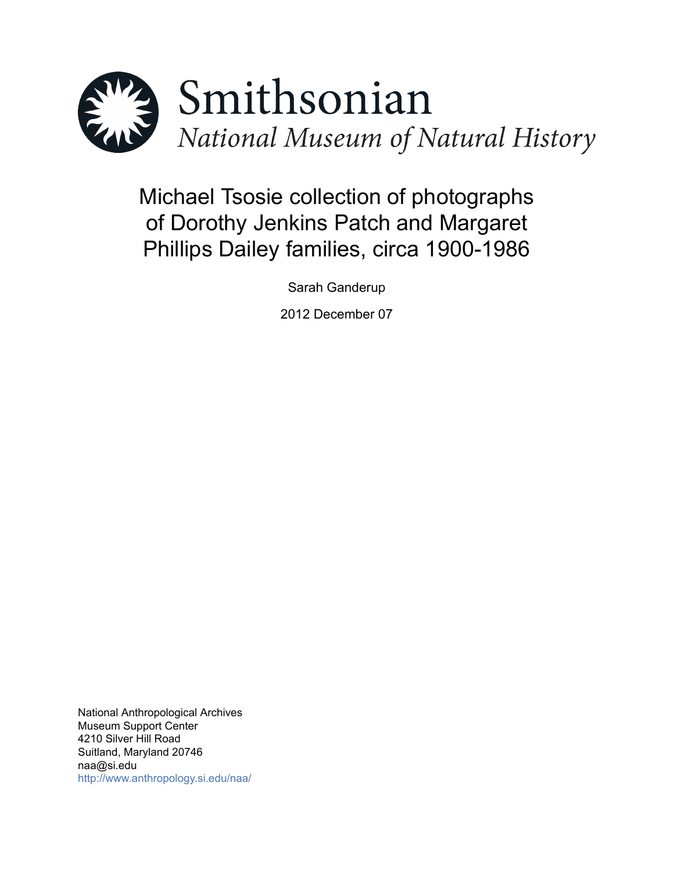

# Michael Tsosie collection of photographs of Dorothy Jenkins Patch and Margaret Phillips Dailey families, circa 1900-1986

Sarah Ganderup

2012 December 07

National Anthropological Archives Museum Support Center 4210 Silver Hill Road Suitland, Maryland 20746 naa@si.edu <http://www.anthropology.si.edu/naa/>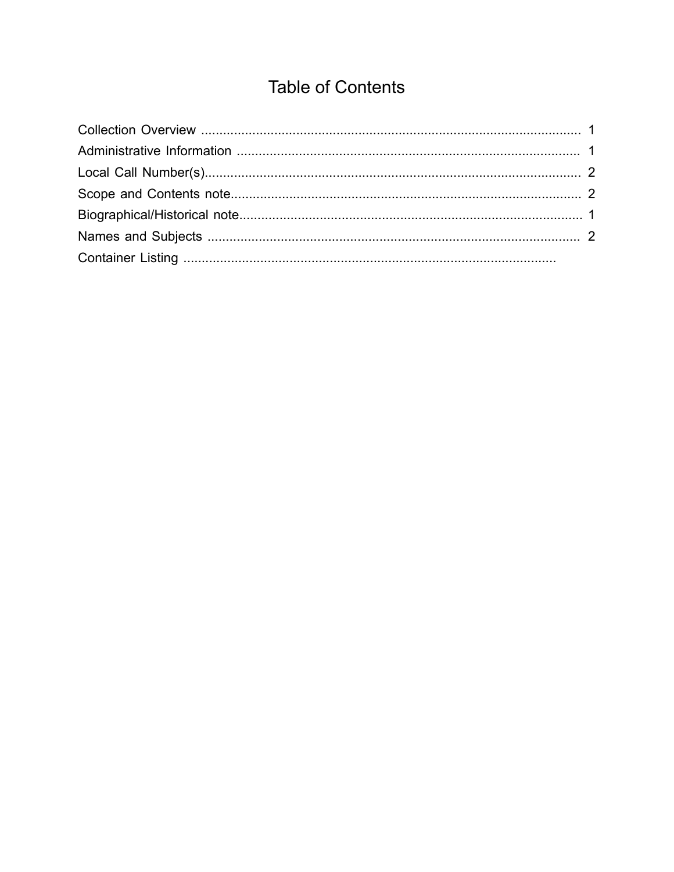## **Table of Contents**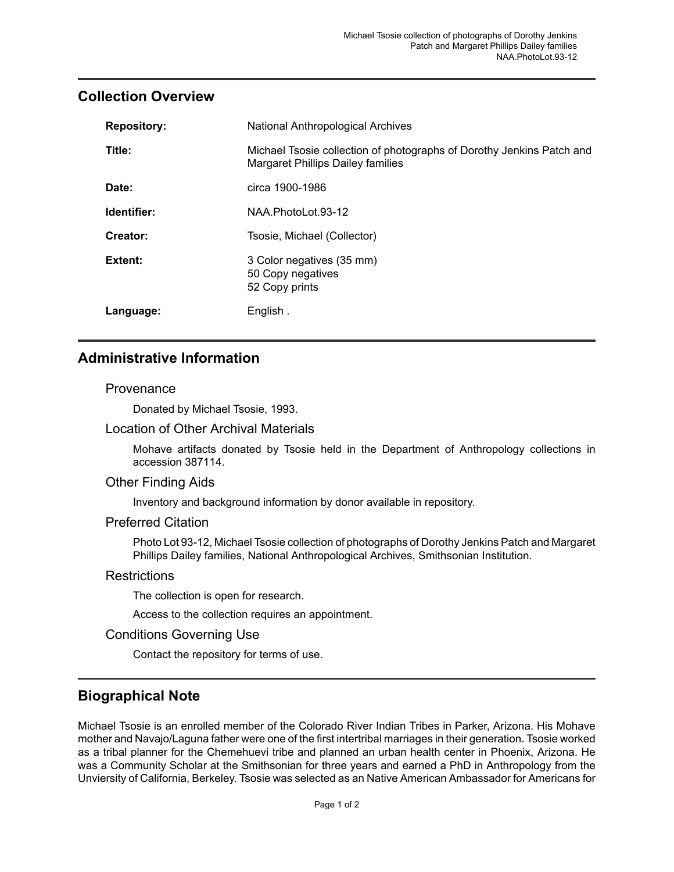## <span id="page-2-0"></span>**Collection Overview**

| <b>Repository:</b> | <b>National Anthropological Archives</b>                                                                          |
|--------------------|-------------------------------------------------------------------------------------------------------------------|
| Title:             | Michael Tsosie collection of photographs of Dorothy Jenkins Patch and<br><b>Margaret Phillips Dailey families</b> |
| Date:              | circa 1900-1986                                                                                                   |
| Identifier:        | NAA.PhotoLot.93-12                                                                                                |
| Creator:           | Tsosie, Michael (Collector)                                                                                       |
| Extent:            | 3 Color negatives (35 mm)<br>50 Copy negatives<br>52 Copy prints                                                  |
| Language:          | English.                                                                                                          |

## <span id="page-2-1"></span>**Administrative Information**

#### Provenance

Donated by Michael Tsosie, 1993.

#### Location of Other Archival Materials

Mohave artifacts donated by Tsosie held in the Department of Anthropology collections in accession 387114.

#### Other Finding Aids

Inventory and background information by donor available in repository.

#### Preferred Citation

Photo Lot 93-12, Michael Tsosie collection of photographs of Dorothy Jenkins Patch and Margaret Phillips Dailey families, National Anthropological Archives, Smithsonian Institution.

#### **Restrictions**

The collection is open for research.

Access to the collection requires an appointment.

#### Conditions Governing Use

Contact the repository for terms of use.

## <span id="page-2-2"></span>**Biographical Note**

Michael Tsosie is an enrolled member of the Colorado River Indian Tribes in Parker, Arizona. His Mohave mother and Navajo/Laguna father were one of the first intertribal marriages in their generation. Tsosie worked as a tribal planner for the Chemehuevi tribe and planned an urban health center in Phoenix, Arizona. He was a Community Scholar at the Smithsonian for three years and earned a PhD in Anthropology from the Unviersity of California, Berkeley. Tsosie was selected as an Native American Ambassador for Americans for